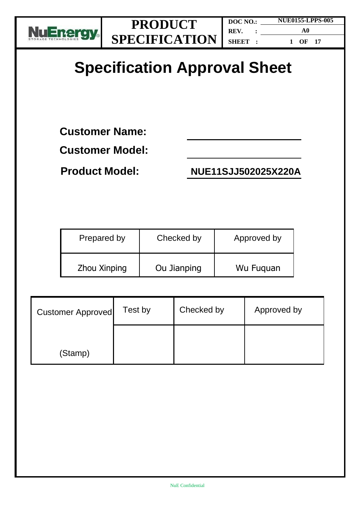

**DOC NO.: REV. : SHEET : NUE0155-LPPS-005 A0 1 OF 17**

# **Specification Approval Sheet**

**Customer Name:** 

**Customer Model:**

**Product Model: NUE11SJJ502025X220A**

| Prepared by  | Checked by  | Approved by |
|--------------|-------------|-------------|
| Zhou Xinping | Ou Jianping | Wu Fuguan   |

| <b>Customer Approved</b> | Test by | Checked by | Approved by |
|--------------------------|---------|------------|-------------|
| (Stamp)                  |         |            |             |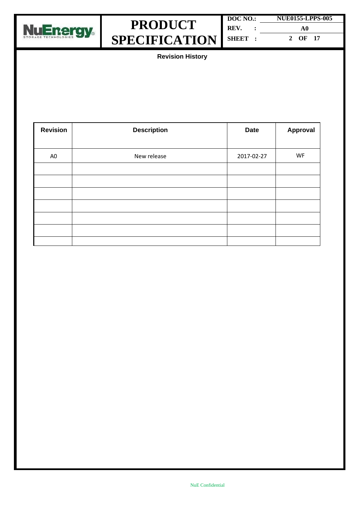



| DOC NO.: | <b>NUE0155-LPPS-005</b> |
|----------|-------------------------|
| REV.     | A0                      |
| SHEET :  | 2 OF 17                 |

**Revision History**

| <b>Revision</b> | <b>Description</b> | <b>Date</b> | <b>Approval</b> |
|-----------------|--------------------|-------------|-----------------|
|                 |                    |             |                 |
| A <sub>0</sub>  | New release        | 2017-02-27  | WF              |
|                 |                    |             |                 |
|                 |                    |             |                 |
|                 |                    |             |                 |
|                 |                    |             |                 |
|                 |                    |             |                 |
|                 |                    |             |                 |
|                 |                    |             |                 |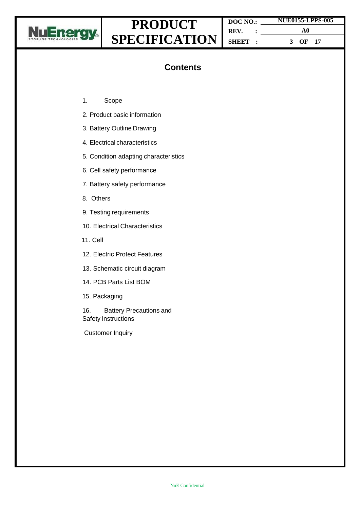

**DOC NO.: REV. : SHEET : NUE0155-LPPS-005 A0 3 OF 17**

### **Contents**

- 1. Scope
- 2. Product basic information
- 3. Battery Outline Drawing
- 4. Electrical characteristics
- 5. Condition adapting characteristics
- 6. Cell safety performance
- 7. Battery safety performance
- 8. Others
- 9. Testing requirements
- 10. Electrical Characteristics
- 11. Cell
- 12. Electric Protect Features
- 13. Schematic circuit diagram
- 14. PCB Parts List BOM
- 15. Packaging

16. Battery Precautions and Safety Instructions

Customer Inquiry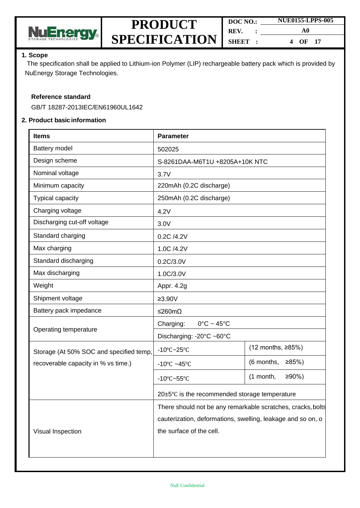

| DOC NO. |  | <b>NUE0155-LPPS-005</b> |  |
|---------|--|-------------------------|--|
| REV.    |  | A0                      |  |
| SHEET : |  | $OF$ 17<br>4            |  |

#### **1. Scope**

The specification shall be applied to Lithium-ion Polymer (LIP) rechargeable battery pack which is provided by NuEnergy Storage Technologies.

#### **Reference standard**

GB/T 18287-2013IEC/EN61960UL1642

#### **2. Product basic information**

| <b>Items</b>                            | <b>Parameter</b>                                            |                         |  |
|-----------------------------------------|-------------------------------------------------------------|-------------------------|--|
| Battery model                           | 502025                                                      |                         |  |
| Design scheme                           | S-8261DAA-M6T1U +8205A+10K NTC                              |                         |  |
| Nominal voltage                         | 3.7V                                                        |                         |  |
| Minimum capacity                        | 220mAh (0.2C discharge)                                     |                         |  |
| <b>Typical capacity</b>                 | 250mAh (0.2C discharge)                                     |                         |  |
| Charging voltage                        | 4.2V                                                        |                         |  |
| Discharging cut-off voltage             | 3.0V                                                        |                         |  |
| Standard charging                       | 0.2C /4.2V                                                  |                         |  |
| Max charging                            | 1.0C /4.2V                                                  |                         |  |
| Standard discharging                    | 0.2C/3.0V                                                   |                         |  |
| Max discharging                         | 1.0C/3.0V                                                   |                         |  |
| Weight                                  | Appr. 4.2g                                                  |                         |  |
| Shipment voltage                        | $≥3.90V$                                                    |                         |  |
| Battery pack impedance                  | ≤260mΩ                                                      |                         |  |
| Operating temperature                   | Charging:<br>$0^{\circ}$ C ~ 45 $^{\circ}$ C                |                         |  |
|                                         | Discharging: -20°C ~60°C                                    |                         |  |
| Storage (At 50% SOC and specified temp, | $-10^{\circ}$ C $-25^{\circ}$ C                             | (12 months, ≥85%)       |  |
| recoverable capacity in % vs time.)     | -10 $\degree$ C ~45 $\degree$ C                             | (6 months,<br>≥85%      |  |
|                                         | -10 $\textdegree$ C~55 $\textdegree$ C                      | $≥90%$ )<br>$(1$ month, |  |
|                                         | 20±5°C is the recommended storage temperature               |                         |  |
|                                         | There should not be any remarkable scratches, cracks, bolts |                         |  |
|                                         | cauterization, deformations, swelling, leakage and so on, o |                         |  |
| Visual Inspection                       | the surface of the cell.                                    |                         |  |
|                                         |                                                             |                         |  |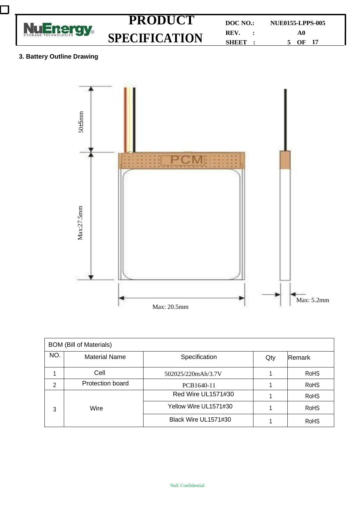



| <b>BOM (Bill of Materials)</b> |                      |                       |     |               |  |
|--------------------------------|----------------------|-----------------------|-----|---------------|--|
| NO.                            | <b>Material Name</b> | Specification         | Qty | <b>Remark</b> |  |
|                                | Cell                 | 502025/220mAh/3.7V    |     | <b>RoHS</b>   |  |
| 2                              | Protection board     | PCB1640-11            |     | <b>RoHS</b>   |  |
|                                |                      | Red Wire UL1571#30    |     | <b>RoHS</b>   |  |
| Wire<br>3                      |                      | Yellow Wire UL1571#30 |     | <b>RoHS</b>   |  |
|                                |                      | Black Wire UL1571#30  |     | <b>RoHS</b>   |  |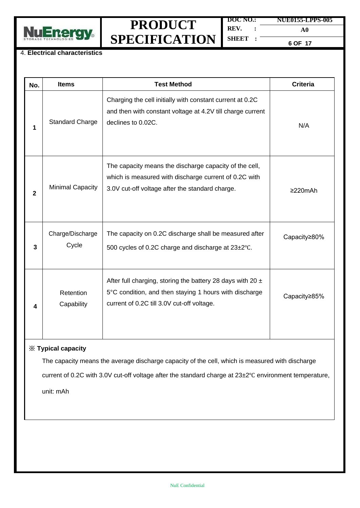

**DOC NO.: REV. : NUE0155-LPPS-005 A0**

**SHEET :**

**6 OF 17**

#### 4. **Electrical characteristics**

| No.            | <b>Items</b>                                                                                                                                                                                                                      | <b>Test Method</b>                                                                                                                                                     | <b>Criteria</b> |  |  |  |
|----------------|-----------------------------------------------------------------------------------------------------------------------------------------------------------------------------------------------------------------------------------|------------------------------------------------------------------------------------------------------------------------------------------------------------------------|-----------------|--|--|--|
| 1              | <b>Standard Charge</b>                                                                                                                                                                                                            | Charging the cell initially with constant current at 0.2C<br>and then with constant voltage at 4.2V till charge current<br>declines to 0.02C.                          | N/A             |  |  |  |
| $\overline{2}$ | <b>Minimal Capacity</b>                                                                                                                                                                                                           | The capacity means the discharge capacity of the cell,<br>which is measured with discharge current of 0.2C with<br>3.0V cut-off voltage after the standard charge.     | $\geq$ 20mAh    |  |  |  |
| 3              | Charge/Discharge<br>Cycle                                                                                                                                                                                                         | The capacity on 0.2C discharge shall be measured after<br>500 cycles of 0.2C charge and discharge at 23±2°C.                                                           | Capacity≥80%    |  |  |  |
| 4              | Retention<br>Capability                                                                                                                                                                                                           | After full charging, storing the battery 28 days with 20 $\pm$<br>5°C condition, and then staying 1 hours with discharge<br>current of 0.2C till 3.0V cut-off voltage. | Capacity≥85%    |  |  |  |
|                | $X$ Typical capacity<br>The capacity means the average discharge capacity of the cell, which is measured with discharge<br>current of 0.2C with 3.0V cut-off voltage after the standard charge at 23±2°C environment temperature, |                                                                                                                                                                        |                 |  |  |  |

unit: mAh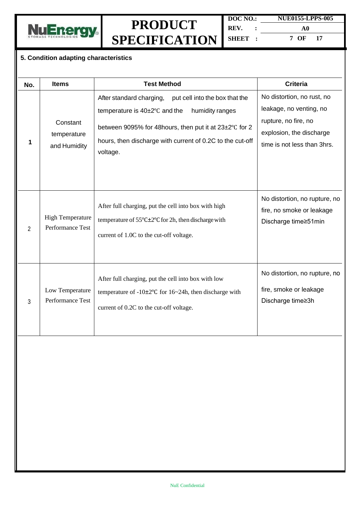

| DOC NO. |  | <b>NUE0155-LPPS-005</b> |  |
|---------|--|-------------------------|--|
| REV.    |  | A0                      |  |
| SHEET : |  | 7 OF<br>17              |  |

#### **5. Condition adapting characteristics**

| No. | <b>Items</b>                                | <b>Test Method</b>                                                                                                                                                                                                                                             | <b>Criteria</b>                                                                                                                          |
|-----|---------------------------------------------|----------------------------------------------------------------------------------------------------------------------------------------------------------------------------------------------------------------------------------------------------------------|------------------------------------------------------------------------------------------------------------------------------------------|
| 1   | Constant<br>temperature<br>and Humidity     | After standard charging,<br>put cell into the box that the<br>temperature is $40\pm2^{\circ}$ C and the<br>humidity ranges<br>between 9095% for 48 hours, then put it at 23±2°C for 2<br>hours, then discharge with current of 0.2C to the cut-off<br>voltage. | No distortion, no rust, no<br>leakage, no venting, no<br>rupture, no fire, no<br>explosion, the discharge<br>time is not less than 3hrs. |
| 2   | <b>High Temperature</b><br>Performance Test | After full charging, put the cell into box with high<br>temperature of $55^{\circ}$ C $\pm$ 2°C for 2h, then discharge with<br>current of 1.0C to the cut-off voltage.                                                                                         | No distortion, no rupture, no<br>fire, no smoke or leakage<br>Discharge time≥51min                                                       |
| 3   | Low Temperature<br>Performance Test         | After full charging, put the cell into box with low<br>temperature of $-10\pm2\degree$ C for $16\sim24h$ , then discharge with<br>current of 0.2C to the cut-off voltage.                                                                                      | No distortion, no rupture, no<br>fire, smoke or leakage<br>Discharge time≥3h                                                             |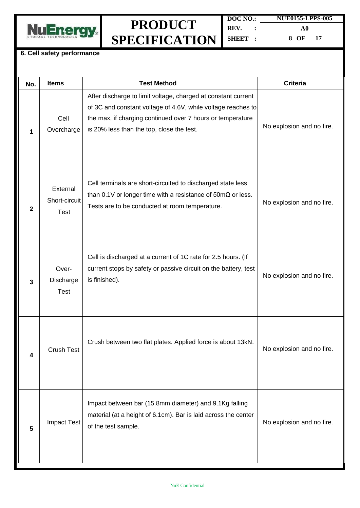

| DOC NO. |  | <b>NUE0155-LPPS-005</b> |     |  |
|---------|--|-------------------------|-----|--|
| REV.    |  | A0                      |     |  |
| SHEET:  |  | 8 OF                    | -17 |  |

#### **6. Cell safety performance**

| No.            | <b>Items</b>                             | <b>Test Method</b>                                                                                                                                                                                                                       | <b>Criteria</b>           |
|----------------|------------------------------------------|------------------------------------------------------------------------------------------------------------------------------------------------------------------------------------------------------------------------------------------|---------------------------|
| 1              | Cell<br>Overcharge                       | After discharge to limit voltage, charged at constant current<br>of 3C and constant voltage of 4.6V, while voltage reaches to<br>the max, if charging continued over 7 hours or temperature<br>is 20% less than the top, close the test. | No explosion and no fire. |
| $\overline{2}$ | External<br>Short-circuit<br><b>Test</b> | Cell terminals are short-circuited to discharged state less<br>than 0.1V or longer time with a resistance of $50 \text{m}\Omega$ or less.<br>Tests are to be conducted at room temperature.                                              | No explosion and no fire. |
| $\mathbf{3}$   | Over-<br>Discharge<br><b>Test</b>        | Cell is discharged at a current of 1C rate for 2.5 hours. (If<br>current stops by safety or passive circuit on the battery, test<br>is finished).                                                                                        | No explosion and no fire. |
| 4              | <b>Crush Test</b>                        | Crush between two flat plates. Applied force is about 13kN.                                                                                                                                                                              | No explosion and no fire. |
| 5              | <b>Impact Test</b>                       | Impact between bar (15.8mm diameter) and 9.1Kg falling<br>material (at a height of 6.1cm). Bar is laid across the center<br>of the test sample.                                                                                          | No explosion and no fire. |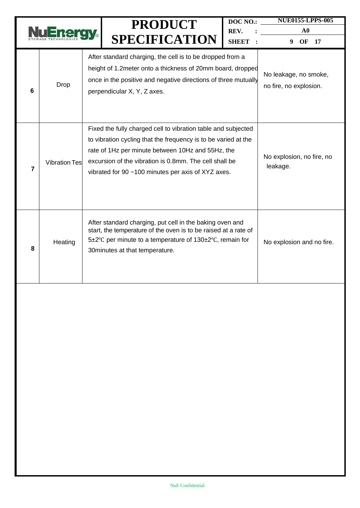|                |                      |                                                                                                                                                                                                                           | <b>PRODUCT</b><br><b>SPECIFICATION</b>                                                                                                                                                                                                                                                               | DOC NO.:<br>REV.<br>SHEET : | <b>NUE0155-LPPS-005</b><br>${\bf A0}$<br>OF<br>9<br>17 |
|----------------|----------------------|---------------------------------------------------------------------------------------------------------------------------------------------------------------------------------------------------------------------------|------------------------------------------------------------------------------------------------------------------------------------------------------------------------------------------------------------------------------------------------------------------------------------------------------|-----------------------------|--------------------------------------------------------|
| 6              | <b>Drop</b>          | After standard charging, the cell is to be dropped from a<br>height of 1.2 meter onto a thickness of 20mm board, dropped<br>once in the positive and negative directions of three mutually<br>perpendicular X, Y, Z axes. |                                                                                                                                                                                                                                                                                                      |                             | No leakage, no smoke,<br>no fire, no explosion.        |
| $\overline{7}$ | <b>Vibration Tes</b> |                                                                                                                                                                                                                           | Fixed the fully charged cell to vibration table and subjected<br>to vibration cycling that the frequency is to be varied at the<br>rate of 1Hz per minute between 10Hz and 55Hz, the<br>excursion of the vibration is 0.8mm. The cell shall be<br>vibrated for 90 ~100 minutes per axis of XYZ axes. |                             | No explosion, no fire, no<br>leakage.                  |
| 8              | Heating              |                                                                                                                                                                                                                           | After standard charging, put cell in the baking oven and<br>start, the temperature of the oven is to be raised at a rate of<br>5±2°C per minute to a temperature of 130±2°C, remain for<br>30 minutes at that temperature.                                                                           |                             | No explosion and no fire.                              |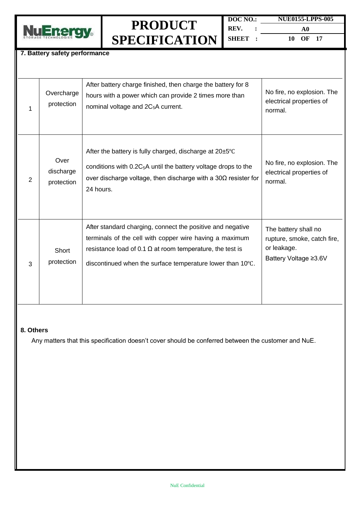

| DOC NO. | <b>NUE0155-LPPS-005</b> |  |
|---------|-------------------------|--|
| REV.    | A0                      |  |
| SHEET:  | 10 OF 17                |  |

#### **7. Battery safety performance**

| 1 | Overcharge<br>protection        | After battery charge finished, then charge the battery for 8<br>hours with a power which can provide 2 times more than<br>nominal voltage and 2C <sub>5</sub> A current.                                                                                | No fire, no explosion. The<br>electrical properties of<br>normal.                           |
|---|---------------------------------|---------------------------------------------------------------------------------------------------------------------------------------------------------------------------------------------------------------------------------------------------------|---------------------------------------------------------------------------------------------|
| 2 | Over<br>discharge<br>protection | After the battery is fully charged, discharge at $20\pm5^{\circ}$ C<br>conditions with 0.2C <sub>5</sub> A until the battery voltage drops to the<br>over discharge voltage, then discharge with a $30\Omega$ resister for<br>24 hours.                 | No fire, no explosion. The<br>electrical properties of<br>normal.                           |
| 3 | Short<br>protection             | After standard charging, connect the positive and negative<br>terminals of the cell with copper wire having a maximum<br>resistance load of 0.1 $\Omega$ at room temperature, the test is<br>discontinued when the surface temperature lower than 10°C. | The battery shall no<br>rupture, smoke, catch fire,<br>or leakage.<br>Battery Voltage ≥3.6V |

#### **8. Others**

Any matters that this specification doesn't cover should be conferred between the customer and NuE.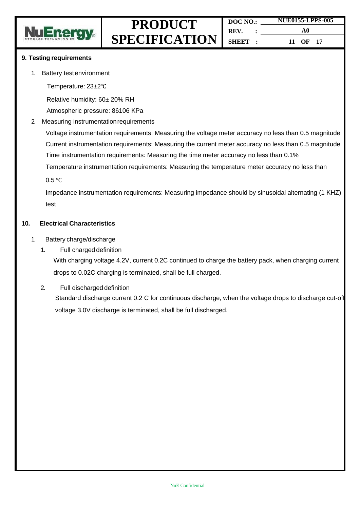

#### **9. Testing requirements**

- 1. Battery testenvironment
	- Temperature: 23±2℃

Relative humidity: 60± 20% RH

Atmospheric pressure: 86106 KPa

#### 2. Measuring instrumentationrequirements

Voltage instrumentation requirements: Measuring the voltage meter accuracy no less than 0.5 magnitude Current instrumentation requirements: Measuring the current meter accuracy no less than 0.5 magnitude Time instrumentation requirements: Measuring the time meter accuracy no less than 0.1%

Temperature instrumentation requirements: Measuring the temperature meter accuracy no less than

0.5 ℃

Impedance instrumentation requirements: Measuring impedance should by sinusoidal alternating (1 KHZ) test

#### **10. Electrical Characteristics**

- 1. Battery charge/discharge
	- 1. Full charged definition

With charging voltage 4.2V, current 0.2C continued to charge the battery pack, when charging current drops to 0.02C charging is terminated, shall be full charged.

2. Full discharged definition Standard discharge current 0.2 C for continuous discharge, when the voltage drops to discharge cut-off voltage 3.0V discharge is terminated, shall be full discharged.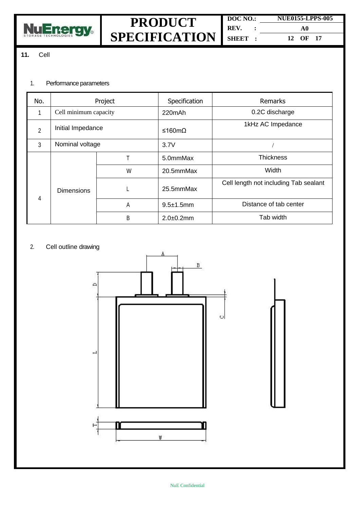

#### **11.** Cell

#### 1. Performance parameters

| No.            | Project               |   | Specification  | <b>Remarks</b>                        |           |       |
|----------------|-----------------------|---|----------------|---------------------------------------|-----------|-------|
| 1              | Cell minimum capacity |   | 220mAh         | 0.2C discharge                        |           |       |
| $\overline{2}$ | Initial Impedance     |   | ≤160mΩ         | 1kHz AC Impedance                     |           |       |
| 3              | Nominal voltage       |   | 3.7V           |                                       |           |       |
|                |                       | т | 5.0mmMax       | <b>Thickness</b>                      |           |       |
|                | <b>Dimensions</b>     |   |                | W                                     | 20.5mmMax | Width |
| 4              |                       |   | 25.5mmMax      | Cell length not including Tab sealant |           |       |
|                |                       | Α | $9.5\pm1.5$ mm | Distance of tab center                |           |       |
|                |                       | B | $2.0 + 0.2$ mm | Tab width                             |           |       |

#### 2. Cell outline drawing

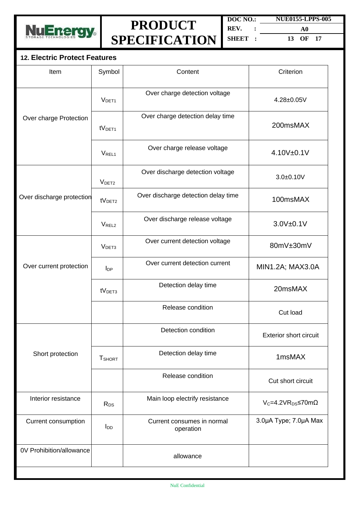

**DOC NO.: REV. : SHEET : NUE0155-LPPS-005 A0 13 OF 17**

### **12. Electric Protect Features**

| Item                      | Symbol                    | Content                                 | Criterion                        |
|---------------------------|---------------------------|-----------------------------------------|----------------------------------|
|                           | V <sub>DET1</sub>         | Over charge detection voltage           | 4.28±0.05V                       |
| Over charge Protection    | tV <sub>DET1</sub>        | Over charge detection delay time        | 200msMAX                         |
|                           | V <sub>REL1</sub>         | Over charge release voltage             | 4.10V±0.1V                       |
|                           | V <sub>DET2</sub>         | Over discharge detection voltage        | $3.0 + 0.10V$                    |
| Over discharge protection | tV <sub>DET2</sub>        | Over discharge detection delay time     | 100msMAX                         |
|                           | V <sub>REL2</sub>         | Over discharge release voltage          | 3.0V±0.1V                        |
|                           | V <sub>DET3</sub>         | Over current detection voltage          | 80mV±30mV                        |
| Over current protection   | $I_{DP}$                  | Over current detection current          | MIN1.2A; MAX3.0A                 |
|                           | tV <sub>DET3</sub>        | Detection delay time                    | 20msMAX                          |
|                           |                           | Release condition                       | Cut load                         |
|                           |                           | Detection condition                     | <b>Exterior short circuit</b>    |
| Short protection          | <b>T</b> <sub>SHORT</sub> | Detection delay time                    | 1msMAX                           |
|                           |                           | Release condition                       | Cut short circuit                |
| Interior resistance       | R <sub>DS</sub>           | Main loop electrify resistance          | $V_c = 4.2VR_{DS} \le 70m\Omega$ |
| Current consumption       | <b>I</b> <sub>DD</sub>    | Current consumes in normal<br>operation | 3.0µA Type; 7.0µA Max            |
| 0V Prohibition/allowance  |                           | allowance                               |                                  |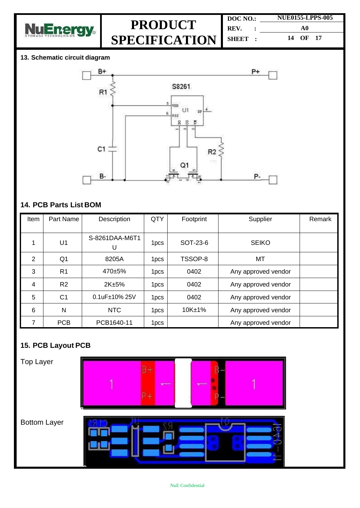

**DOC NO.: REV. : SHEET : NUE0155-LPPS-005 A0 14 OF 17**

#### **13. Schematic circuit diagram**



### **14. PCB Parts List BOM**

| Item           | Part Name      | Description         | QTY              | Footprint | Supplier            | Remark |
|----------------|----------------|---------------------|------------------|-----------|---------------------|--------|
|                | U <sub>1</sub> | S-8261DAA-M6T1<br>U | 1 <sub>pcs</sub> | SOT-23-6  | <b>SEIKO</b>        |        |
| $\overline{2}$ | Q1             | 8205A               | 1 <sub>pcs</sub> | TSSOP-8   | MT                  |        |
| 3              | R <sub>1</sub> | 470±5%              | 1 <sub>pcs</sub> | 0402      | Any approved vendor |        |
| $\overline{4}$ | R <sub>2</sub> | 2K±5%               | 1 <sub>pcs</sub> | 0402      | Any approved vendor |        |
| 5              | C <sub>1</sub> | 0.1uF±10% 25V       | 1 <sub>pcs</sub> | 0402      | Any approved vendor |        |
| 6              | N              | <b>NTC</b>          | 1 <sub>pcs</sub> | 10K±1%    | Any approved vendor |        |
| 7              | <b>PCB</b>     | PCB1640-11          | 1 <sub>pcs</sub> |           | Any approved vendor |        |

### **15. PCB Layout PCB**

Top Layer



Bottom Layer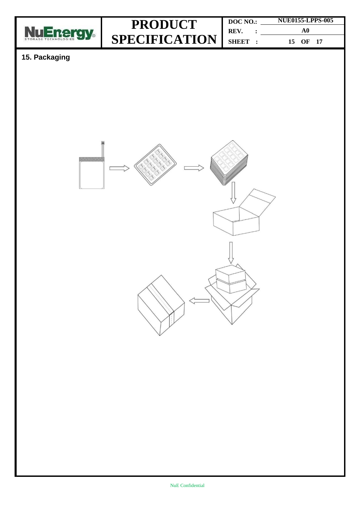

| DOC NO.:              |  | <b>NUE0155-LPPS-005</b> |  |  |
|-----------------------|--|-------------------------|--|--|
| REV.<br>$\sim$ $\sim$ |  | A0                      |  |  |
| SHEET :               |  | 15 OF 17                |  |  |

### **15. Packaging**

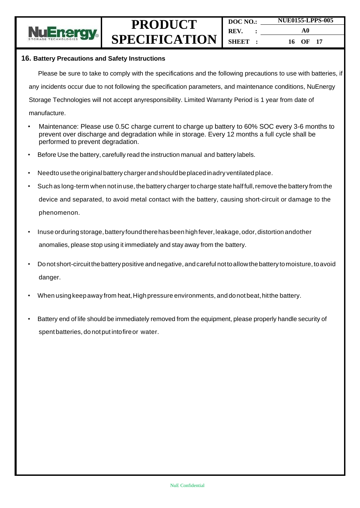

#### **16. Battery Precautions and Safety Instructions**

Please be sure to take to comply with the specifications and the following precautions to use with batteries, if any incidents occur due to not following the specification parameters, and maintenance conditions, NuEnergy Storage Technologies will not accept anyresponsibility. Limited Warranty Period is 1 year from date of

- manufacture.
- Maintenance: Please use 0.5C charge current to charge up battery to 60% SOC every 3-6 months to prevent over discharge and degradation while in storage. Every 12 months a full cycle shall be performed to prevent degradation.
- Before Use the battery, carefully read the instruction manual and battery labels.
- Needto usetheoriginalbattery charger andshould beplacedinadry ventilatedplace.
- Such as long-term when not in use, the battery charger to charge state half full, remove the battery from the device and separated, to avoid metal contact with the battery, causing short-circuit or damage to the phenomenon.
- Inuse orduring storage, battery found there has been high fever, leakage, odor, distortion andother anomalies, please stop using it immediately and stay away from the battery.
- Donot short-circuitthebattery positive andnegative, andcareful nottoallowthe battery tomoisture, toavoid danger.
- When using keep away from heat, High pressure environments, and donot beat, hit the battery.
- Battery end of life should be immediately removed from the equipment, please properly handle security of spent batteries, do notput intofireor water.